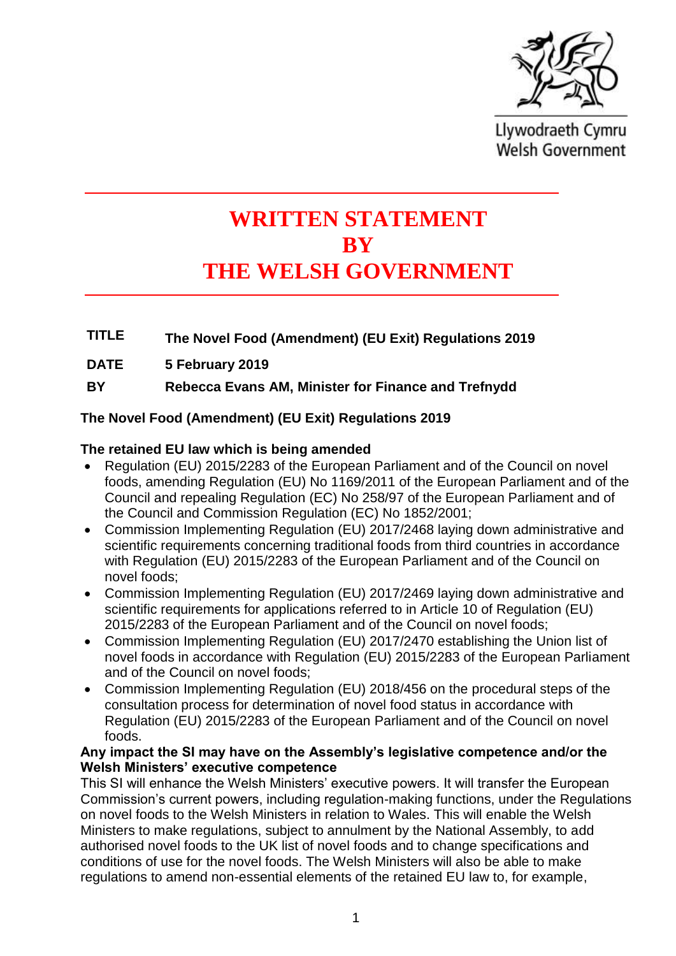

Llywodraeth Cymru **Welsh Government** 

# **WRITTEN STATEMENT BY THE WELSH GOVERNMENT**

**TITLE The Novel Food (Amendment) (EU Exit) Regulations 2019**

**DATE 5 February 2019**

**BY Rebecca Evans AM, Minister for Finance and Trefnydd**

## **The Novel Food (Amendment) (EU Exit) Regulations 2019**

### **The retained EU law which is being amended**

- Regulation (EU) 2015/2283 of the European Parliament and of the Council on novel foods, amending Regulation (EU) No 1169/2011 of the European Parliament and of the Council and repealing Regulation (EC) No 258/97 of the European Parliament and of the Council and Commission Regulation (EC) No 1852/2001;
- Commission Implementing Regulation (EU) 2017/2468 laying down administrative and scientific requirements concerning traditional foods from third countries in accordance with Regulation (EU) 2015/2283 of the European Parliament and of the Council on novel foods;
- Commission Implementing Regulation (EU) 2017/2469 laying down administrative and scientific requirements for applications referred to in Article 10 of Regulation (EU) 2015/2283 of the European Parliament and of the Council on novel foods;
- Commission Implementing Regulation (EU) 2017/2470 establishing the Union list of novel foods in accordance with Regulation (EU) 2015/2283 of the European Parliament and of the Council on novel foods;
- Commission Implementing Regulation (EU) 2018/456 on the procedural steps of the consultation process for determination of novel food status in accordance with Regulation (EU) 2015/2283 of the European Parliament and of the Council on novel foods.

#### **Any impact the SI may have on the Assembly's legislative competence and/or the Welsh Ministers' executive competence**

This SI will enhance the Welsh Ministers' executive powers. It will transfer the European Commission's current powers, including regulation-making functions, under the Regulations on novel foods to the Welsh Ministers in relation to Wales. This will enable the Welsh Ministers to make regulations, subject to annulment by the National Assembly, to add authorised novel foods to the UK list of novel foods and to change specifications and conditions of use for the novel foods. The Welsh Ministers will also be able to make regulations to amend non-essential elements of the retained EU law to, for example,